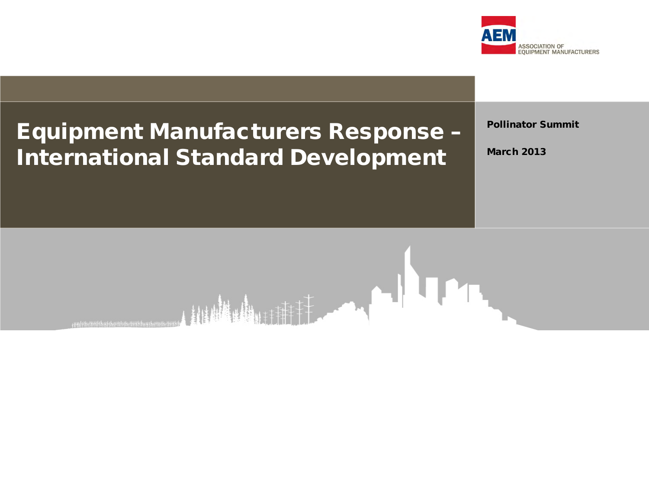

### Equipment Manufacturers Response – International Standard Development

Pollinator Summit

March 2013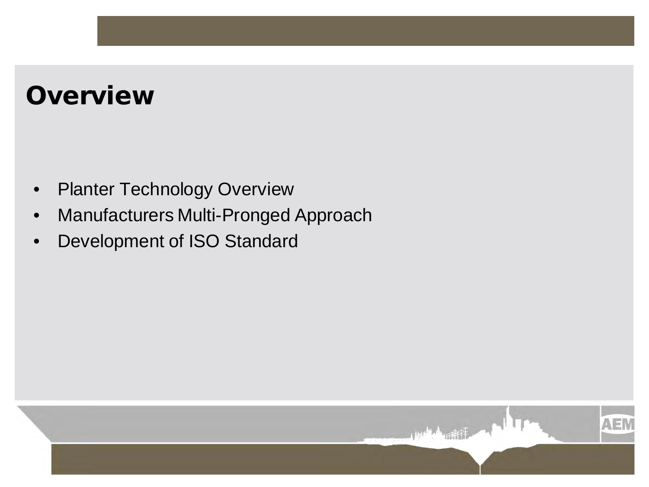## **Overview**

- Planter Technology Overview
- Manufacturers Multi-Pronged Approach
- Development of ISO Standard

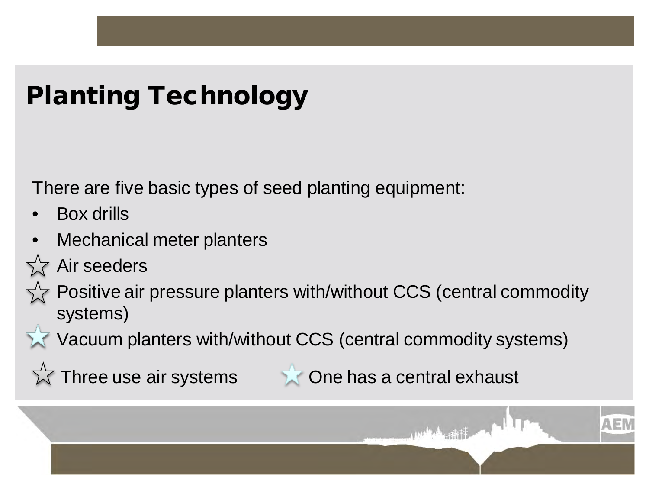# Planting Technology

There are five basic types of seed planting equipment:

- Box drills
- Mechanical meter planters
- Air seeders



Vacuum planters with/without CCS (central commodity systems)

 $\sqrt{\lambda}$  Three use air systems  $\lambda$  One has a central exhaust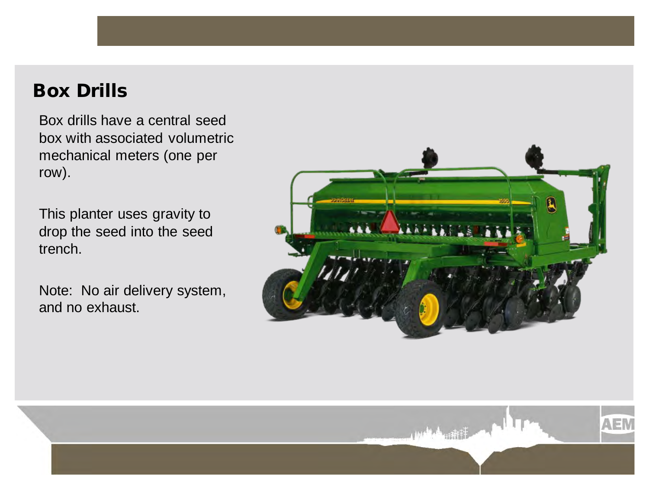#### Box Drills

Box drills have a central seed box with associated volumetric mechanical meters (one per row).

This planter uses gravity to drop the seed into the seed trench.

Note: No air delivery system, and no exhaust.



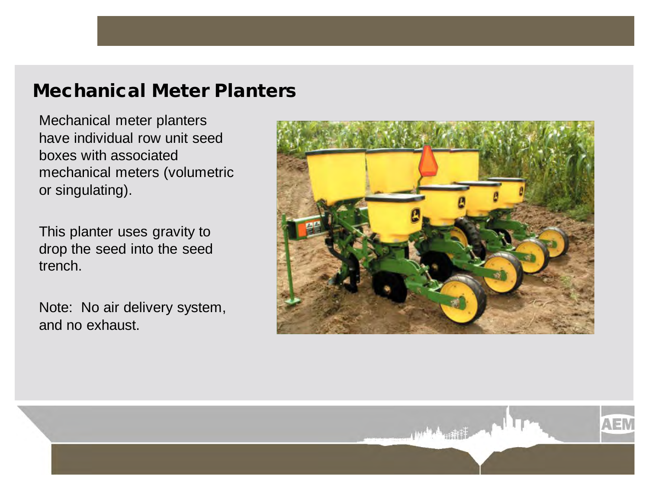#### Mechanical Meter Planters

Mechanical meter planters have individual row unit seed boxes with associated mechanical meters (volumetric or singulating).

This planter uses gravity to drop the seed into the seed trench.

Note: No air delivery system, and no exhaust.



**AFR**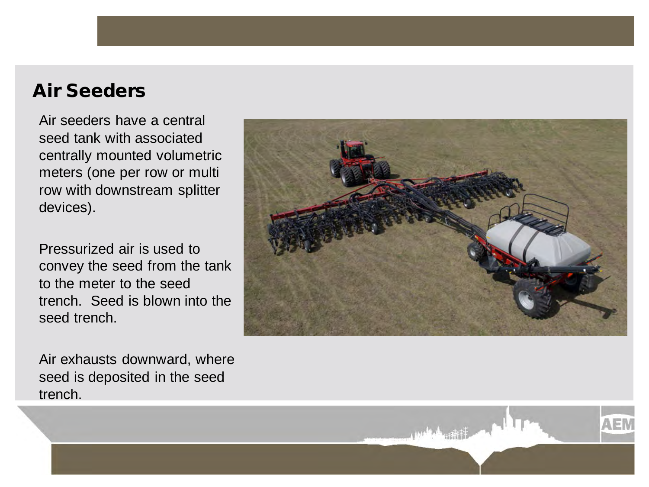#### Air Seeders

Air seeders have a central seed tank with associated centrally mounted volumetric meters (one per row or multi row with downstream splitter devices).

Pressurized air is used to convey the seed from the tank to the meter to the seed trench. Seed is blown into the seed trench.

Air exhausts downward, where seed is deposited in the seed trench.



**AFR**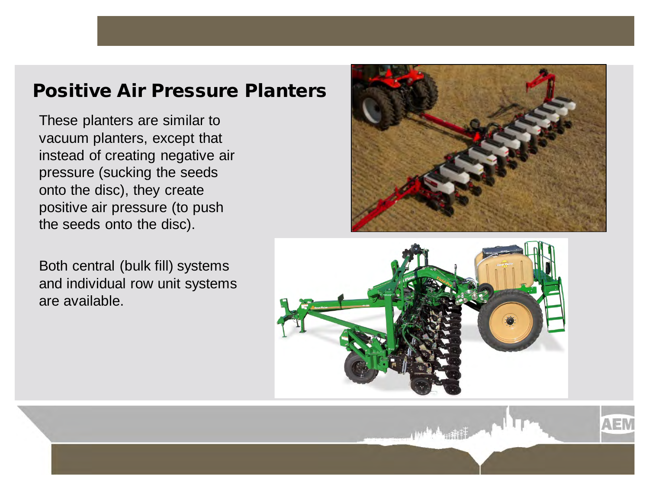#### Positive Air Pressure Planters

These planters are similar to vacuum planters, except that instead of creating negative air pressure (sucking the seeds onto the disc), they create positive air pressure (to push the seeds onto the disc).

Both central (bulk fill) systems and individual row unit systems are available.



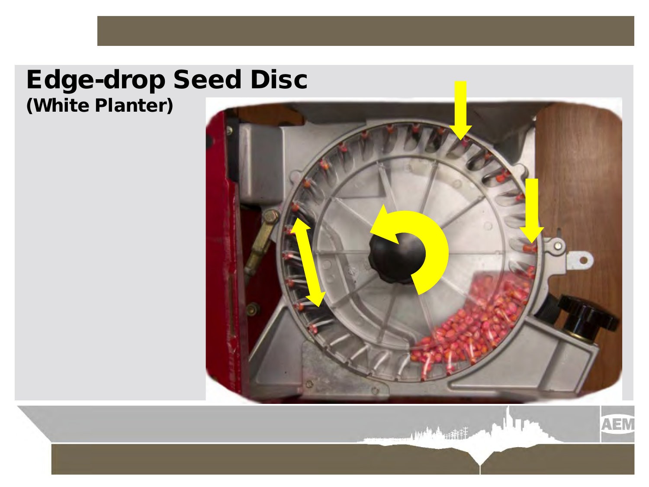### Edge-drop Seed Disc (White Planter)



**AEM**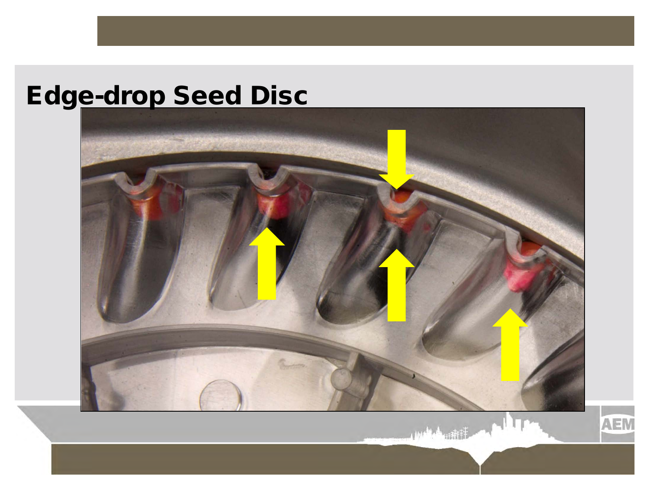# Edge-drop Seed Disc



AEM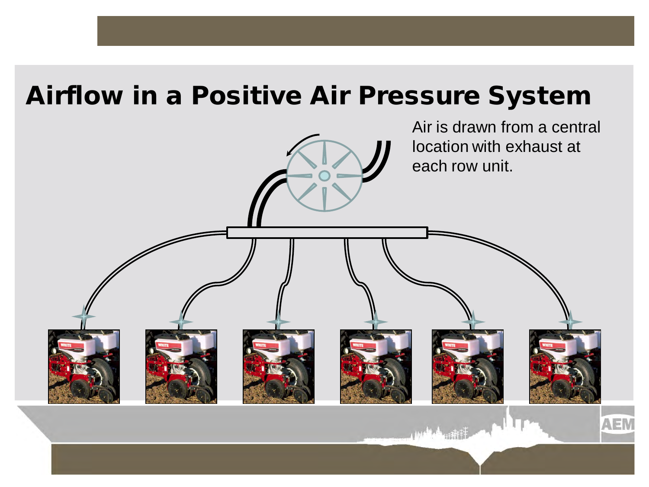## Airflow in a Positive Air Pressure System

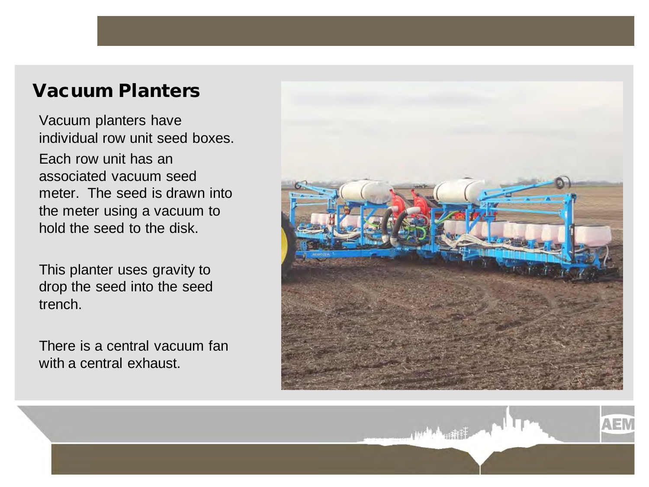#### Vacuum Planters

Vacuum planters have individual row unit seed boxes. Each row unit has an associated vacuum seed meter. The seed is drawn into the meter using a vacuum to hold the seed to the disk.

This planter uses gravity to drop the seed into the seed trench.

There is a central vacuum fan with a central exhaust.



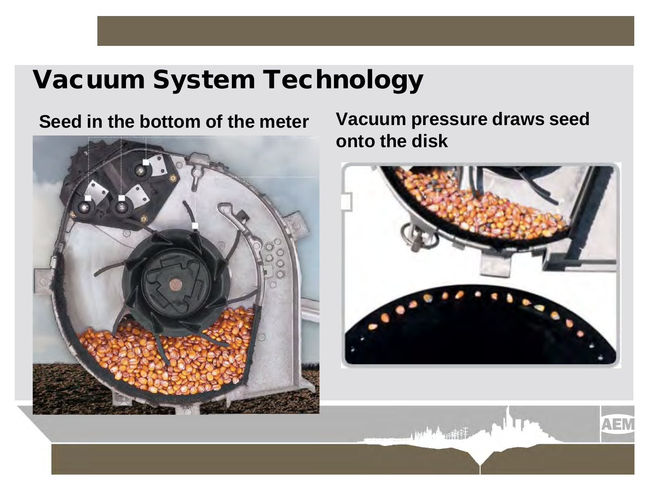## Vacuum System Technology



**Seed in the bottom of the meter Vacuum pressure draws seed onto the disk**



**AEN**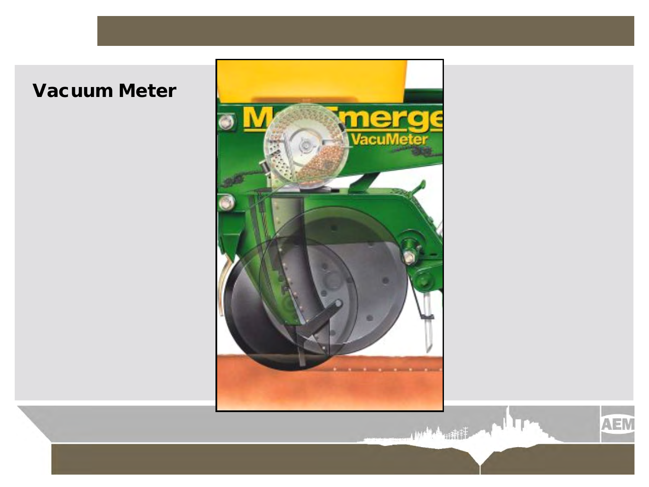### Vacuum Meter



**AEM**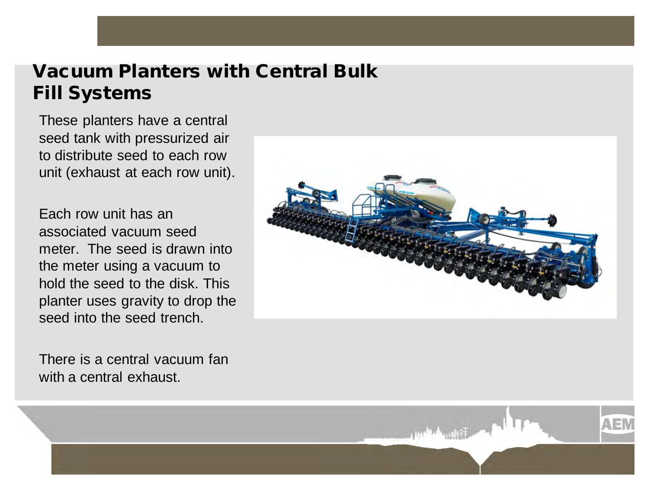#### Vacuum Planters with Central Bulk Fill Systems

These planters have a central seed tank with pressurized air to distribute seed to each row unit (exhaust at each row unit).

Each row unit has an associated vacuum seed meter. The seed is drawn into the meter using a vacuum to hold the seed to the disk. This planter uses gravity to drop the seed into the seed trench.

There is a central vacuum fan with a central exhaust.

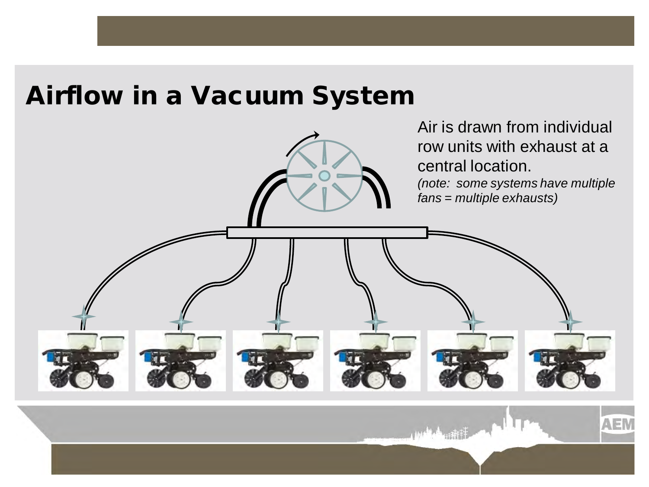### Airflow in a Vacuum System

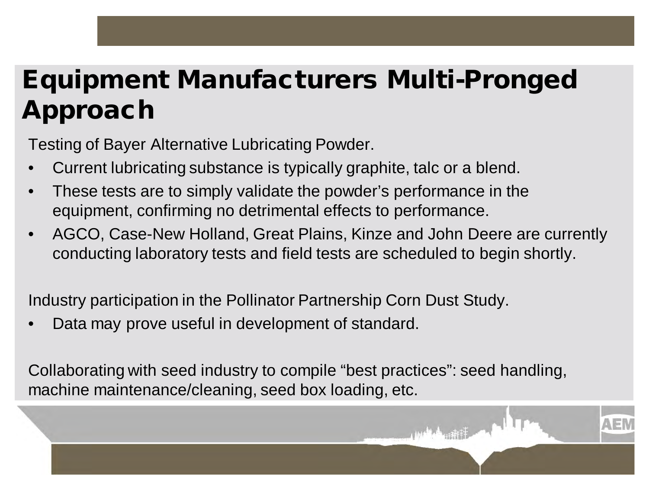# Equipment Manufacturers Multi-Pronged Approach

Testing of Bayer Alternative Lubricating Powder.

- Current lubricating substance is typically graphite, talc or a blend.
- These tests are to simply validate the powder's performance in the equipment, confirming no detrimental effects to performance.
- AGCO, Case-New Holland, Great Plains, Kinze and John Deere are currently conducting laboratory tests and field tests are scheduled to begin shortly.

Industry participation in the Pollinator Partnership Corn Dust Study.

Data may prove useful in development of standard.

Collaborating with seed industry to compile "best practices": seed handling, machine maintenance/cleaning, seed box loading, etc.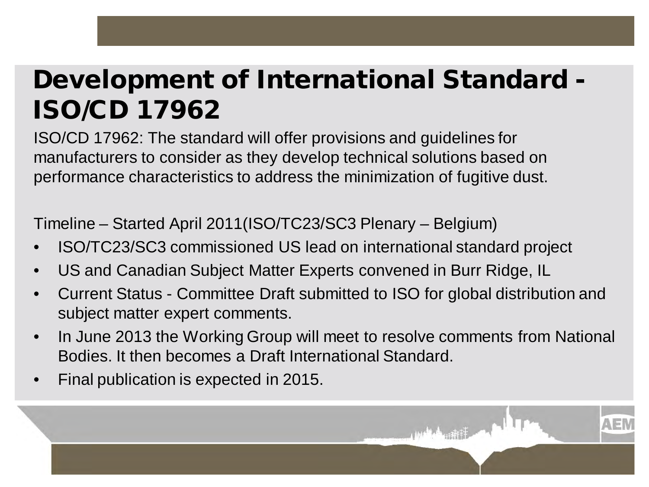## Development of International Standard - ISO/CD 17962

ISO/CD 17962: The standard will offer provisions and guidelines for manufacturers to consider as they develop technical solutions based on performance characteristics to address the minimization of fugitive dust.

Timeline – Started April 2011(ISO/TC23/SC3 Plenary – Belgium)

- ISO/TC23/SC3 commissioned US lead on international standard project
- US and Canadian Subject Matter Experts convened in Burr Ridge, IL
- Current Status Committee Draft submitted to ISO for global distribution and subject matter expert comments.
- In June 2013 the Working Group will meet to resolve comments from National Bodies. It then becomes a Draft International Standard.
- Final publication is expected in 2015.